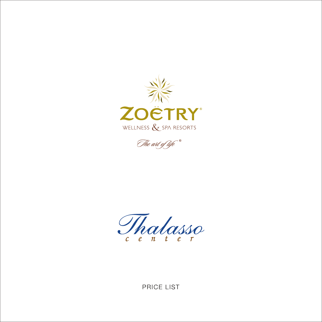



Thalasso

PRICE LIST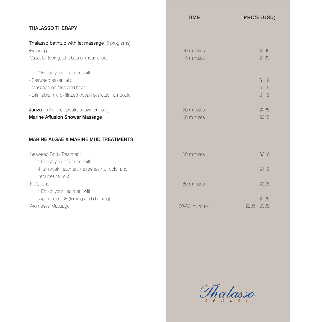|                                                                                                                                              | <b>TIME</b>              | <b>PRICE (USD)</b>                                                                       |
|----------------------------------------------------------------------------------------------------------------------------------------------|--------------------------|------------------------------------------------------------------------------------------|
| <b>THALASSO THERAPY</b>                                                                                                                      |                          |                                                                                          |
| Thalasso bathtub with jet massage (5 programs)<br>·Relaxing<br>·Vascular toning, phlebitis or rheumatoid                                     | 20 minutes<br>15 minutes | \$95<br>\$ 69                                                                            |
| * Enrich your treatment with:<br>- Seaweed essential oil<br>- Massage on face and head<br>- Drinkable micro-filtrated ocean seawater ampoule |                          | $\mathcal{L}$<br>9<br>$\mathcal{L}$<br>$\overline{9}$<br>$\mathcal{L}$<br>$\overline{9}$ |
| <b>Janzu</b> (in the therapeutic seawater pool)<br><b>Marine Affusion Shower Massage</b>                                                     | 50 minutes<br>50 minutes | \$225<br>\$245                                                                           |
| <b>MARINE ALGAE &amp; MARINE MUD TREATMENTS</b>                                                                                              |                          |                                                                                          |
| ·Seaweed Body Treatment<br>* Enrich your treatment with:<br>-Hair repair treatment (refreshes hair color and                                 | 80 minutes               | \$349<br>\$119                                                                           |
| reduces fall-out).<br>-Fit & Tone<br>* Enrich your treatment with:                                                                           | 80 minutes               | \$305                                                                                    |
| -Appliance: G5 (firming and draining)<br>·Aromasea Massage                                                                                   | 50/80 minutes            | \$35<br>\$235 / \$339                                                                    |

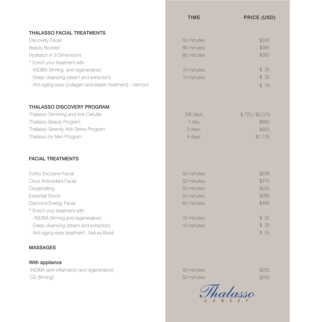## THALASSO FACIAL TREATMENTS

Discovery Facial Beauty Booster Hydration in 3 Dimensions \* Enrich your treatment with: -INDIBA (firming and regenerative) -Deep cleansing (steam and extraction) -Anti-aging eyes (collagen and elastin treatment) - Valmont

## THALASSO DISCOVERY PROGRAM

Thalasso Slimming and Anti-Cellulite Thalasso Beauty Program Thalasso Serenity Anti-Stress Program Thalasso for Men Program

## FACIAL TREATMENTS

Zoëtry Exclusive Facial Citrus Antioxidant Facial **Oxygenating** Essential Shock Diamond Energy Facial \* Enrich your treatment with: -INDIBA (firming and regenerative) - Deep cleansing (steam and extraction) - Anti-aging eyes treatment - Natura Bissé

## MASSAGES

### With appliance

·INDIBA (anti-inflamatory and regenerative) ·G5 (firming)

# TIME PRICE (USD) \$245 \$385 \$365

| 10 minutes | \$35 |
|------------|------|
| 10 minutes | \$35 |
|            | \$79 |

50 minutes 80 minutes 80 minutes

#### 3/6 days 1 day 3 days 4 days \$ 725 / \$2,079 \$865 \$925 \$1,135

| 50 minutes | \$239 |
|------------|-------|
| 50 minutes | \$315 |
| 50 minutes | \$255 |
| 50 minutes | \$285 |
| 60 minutes | \$495 |
|            |       |
| 10 minutes | \$35  |
| 10 minutes | \$35  |
|            | \$55  |

50 minutes 50 minutes  \$205 \$205

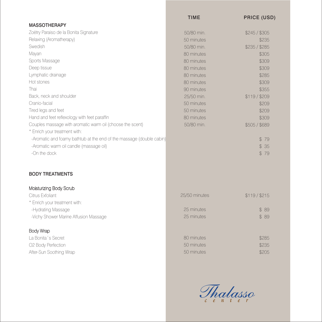|                                                                      | <b>TIME</b>   | <b>PRICE (USD)</b> |
|----------------------------------------------------------------------|---------------|--------------------|
| <b>MASSOTHERAPY</b>                                                  |               |                    |
| Zoëtry Paraiso de la Bonita Signature                                | 50/80 min.    | \$245 / \$305      |
| Relaxing (Aromatherapy)                                              | 50 minutes    | \$235              |
| Swedish                                                              | 50/80 min.    | \$235 / \$285      |
| Mayan                                                                | 80 minutes    | \$305              |
| Sports Massage                                                       | 80 minutes    | \$309              |
| Deep tissue                                                          | 80 minutes    | \$309              |
| Lymphatic drainage                                                   | 80 minutes    | \$285              |
| Hot stones                                                           | 80 minutes    | \$309              |
| Thai                                                                 | 90 minutes    | \$355              |
| Back, neck and shoulder                                              | 25/50 min.    | \$119/\$209        |
| Cranio-facial                                                        | 50 minutes    | \$209              |
| Tired legs and feet                                                  | 50 minutes    | \$209              |
| Hand and feet reflexology with feet paraffin                         | 80 minutes    | \$309              |
| Couples massage with aromatic warm oil (choose the scent)            | 50/80 min.    | \$505 / \$689      |
| * Enrich your treatment with:                                        |               |                    |
| -Aromatic and foamy bathtub at the end of the massage (double cabin) |               | \$79               |
| -Aromatic warm oil candle (massage oil)                              |               | \$ 35              |
| -On the dock                                                         |               | \$79               |
|                                                                      |               |                    |
|                                                                      |               |                    |
| <b>BODY TREATMENTS</b>                                               |               |                    |
|                                                                      |               |                    |
| Moisturizing Body Scrub                                              |               |                    |
| Citrus Exfoliant                                                     | 25/50 minutes | \$119 / \$215      |
| * Enrich your treatment with:                                        |               |                    |
| -Hydrating Massage                                                   | 25 minutes    | \$ 89              |
| -Vichy Shower Marine Affusion Massage                                | 25 minutes    | \$ 89              |
|                                                                      |               |                    |
| <b>Body Wrap</b>                                                     |               |                    |
| La Bonita's Secret                                                   | 80 minutes    | \$285              |
| O2 Body Perfection                                                   | 50 minutes    | \$235              |
| After-Sun Soothing Wrap                                              | 50 minutes    | \$205              |
|                                                                      |               |                    |
|                                                                      |               |                    |

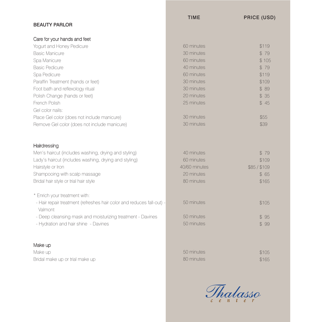|            | PRICE (USD) |
|------------|-------------|
|            |             |
|            |             |
| 60 minutes | \$119       |
| 30 minutes | \$79        |
| 60 minutes | \$105       |
| 40 minutes | \$79        |
| 60 minutes | \$119       |
| 30 minutes | \$109       |
| 30 minutes | \$89        |
| 20 minutes | \$35        |
| 25 minutes | \$45        |
|            |             |
| 30 minutes | \$55        |
| 30 minutes | \$39        |
|            | IIME        |

# **Hairdressing**

Men's haircut (includes washing, drying and styling) Lady's haircut (includes washing, drying and styling) Hairstyle or Iron Shampooing with scalp massage Bridal hair style or trial hair style

- \* Enrich your treatment with:
- Hair repair treatment (refreshes hair color and reduces fall-out) Valmont
- Deep cleansing mask and moisturizing treatment Davines
- Hydration and hair shine Davines

# Make up

Make up Bridal make up or trial make up

 \$ 79 \$109 \$85 / \$109 \$ 65 \$165 40 minutes 60 minutes 40/60 minutes 20 minutes 80 minutes

 $T<sub>1</sub>$ 

 \$105 \$ 95 \$ 99 50 minutes 50 minutes 50 minutes

\$105 \$165 50 minutes 80 minutes

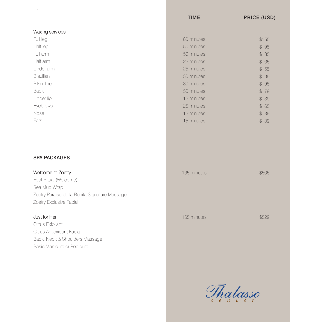|                    | <b>TIME</b> | <b>PRICE (USD)</b> |
|--------------------|-------------|--------------------|
| Waxing services    |             |                    |
| Full leg           | 80 minutes  | \$155              |
| Half leg           | 50 minutes  | \$95               |
| Full arm           | 50 minutes  | \$85               |
| Half arm           | 25 minutes  | \$65               |
| Under arm          | 25 minutes  | \$55               |
| Brazilian          | 50 minutes  | \$99               |
| <b>Bikini line</b> | 30 minutes  | \$95               |
| <b>Back</b>        | 50 minutes  | \$79               |
| Upper lip          | 15 minutes  | \$39               |
| Eyebrows           | 25 minutes  | \$65               |
| Nose               | 15 minutes  | \$39               |
| Ears               | 15 minutes  | \$39               |
|                    |             |                    |

# SPA PACKAGES

·

Welcome to Zoëtry Foot Ritual (Welcome) Sea Mud Wrap Zoëtry Paraiso de la Bonita Signature Massage Zoetry Exclusive Facial

# Just for Her

Citrus Exfoliant Citrus Antioxidant Facial Back, Neck & Shoulders Massage Basic Manicure or Pedicure

| 165 minutes | \$505 |
|-------------|-------|
| 165 minutes | \$529 |

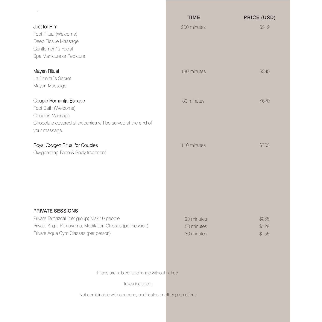|                                                                                                                                                                      | <b>TIME</b>                            | <b>PRICE (USD)</b>     |
|----------------------------------------------------------------------------------------------------------------------------------------------------------------------|----------------------------------------|------------------------|
| Just for Him<br>Foot Ritual (Welcome)<br>Deep Tissue Massage<br>Gentlemen's Facial<br>Spa Manicure or Pedicure                                                       | 200 minutes                            | \$519                  |
| Mayan Ritual<br>La Bonita's Secret<br>Mayan Massage                                                                                                                  | 130 minutes                            | \$349                  |
| Couple Romantic Escape<br>Foot Bath (Welcome)<br>Couples Massage<br>Chocolate covered strawberries will be served at the end of<br>your massage.                     | 80 minutes                             | \$620                  |
| Royal Oxygen Ritual for Couples<br>Oxygenating Face & Body treatment                                                                                                 | 110 minutes                            | \$705                  |
| PRIVATE SESSIONS<br>Private Temazcal (per group) Max 10 people<br>Private Yoga, Pranayama, Meditation Classes (per session)<br>Private Aqua Gym Classes (per person) | 90 minutes<br>50 minutes<br>30 minutes | \$285<br>\$129<br>\$55 |

Prices are subject to change without notice.

Taxes included.

Not combinable with coupons, certificates or other promotions